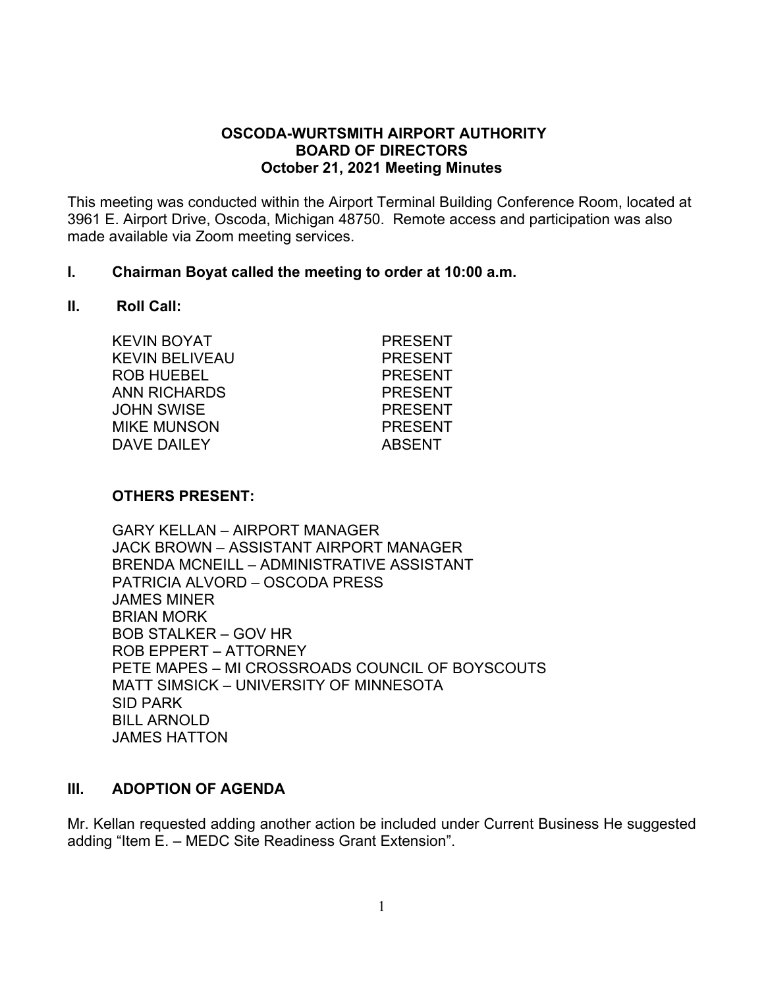### **OSCODA-WURTSMITH AIRPORT AUTHORITY BOARD OF DIRECTORS October 21, 2021 Meeting Minutes**

This meeting was conducted within the Airport Terminal Building Conference Room, located at 3961 E. Airport Drive, Oscoda, Michigan 48750. Remote access and participation was also made available via Zoom meeting services.

#### **I. Chairman Boyat called the meeting to order at 10:00 a.m.**

#### **II. Roll Call:**

| <b>KEVIN BOYAT</b>    | <b>PRESENT</b> |
|-----------------------|----------------|
| <b>KEVIN BELIVEAU</b> | <b>PRESENT</b> |
| <b>ROB HUEBEL</b>     | <b>PRESENT</b> |
| ANN RICHARDS          | <b>PRESENT</b> |
| <b>JOHN SWISE</b>     | <b>PRESENT</b> |
| <b>MIKE MUNSON</b>    | <b>PRESENT</b> |
| DAVE DAILEY           | <b>ABSENT</b>  |
|                       |                |

### **OTHERS PRESENT:**

GARY KELLAN – AIRPORT MANAGER JACK BROWN – ASSISTANT AIRPORT MANAGER BRENDA MCNEILL – ADMINISTRATIVE ASSISTANT PATRICIA ALVORD – OSCODA PRESS JAMES MINER BRIAN MORK BOB STALKER – GOV HR ROB EPPERT – ATTORNEY PETE MAPES – MI CROSSROADS COUNCIL OF BOYSCOUTS MATT SIMSICK – UNIVERSITY OF MINNESOTA SID PARK BILL ARNOLD JAMES HATTON

#### **III. ADOPTION OF AGENDA**

Mr. Kellan requested adding another action be included under Current Business He suggested adding "Item E. – MEDC Site Readiness Grant Extension".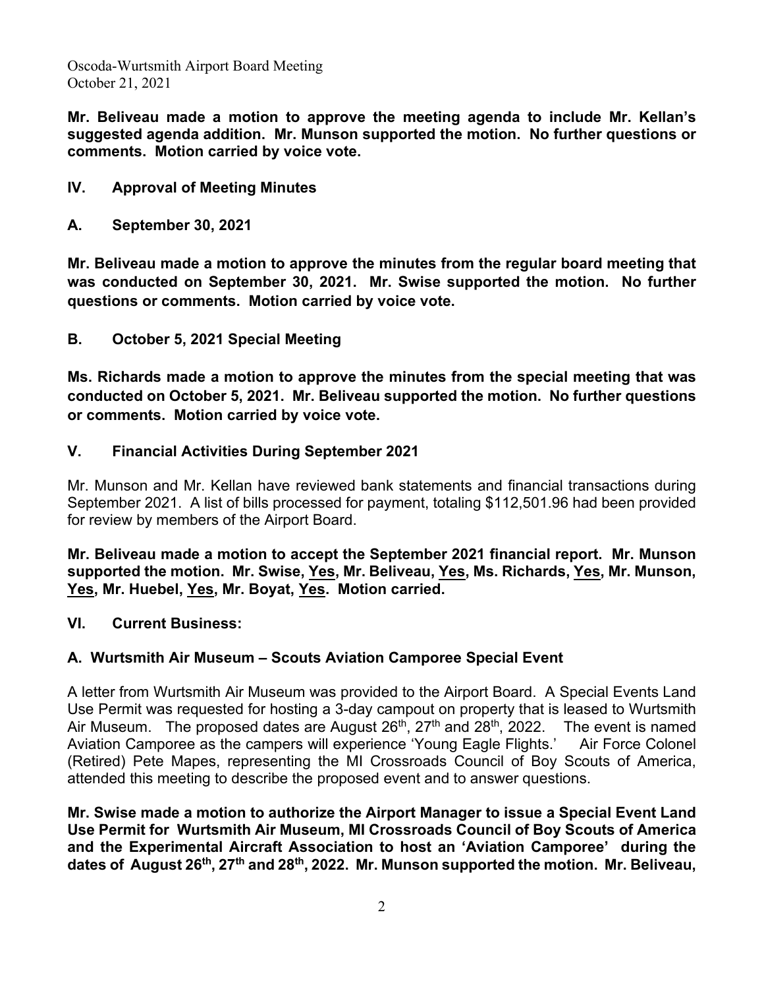**Mr. Beliveau made a motion to approve the meeting agenda to include Mr. Kellan's suggested agenda addition. Mr. Munson supported the motion. No further questions or comments. Motion carried by voice vote.**

- **IV. Approval of Meeting Minutes**
- **A. September 30, 2021**

**Mr. Beliveau made a motion to approve the minutes from the regular board meeting that was conducted on September 30, 2021. Mr. Swise supported the motion. No further questions or comments. Motion carried by voice vote.**

**B. October 5, 2021 Special Meeting**

**Ms. Richards made a motion to approve the minutes from the special meeting that was conducted on October 5, 2021. Mr. Beliveau supported the motion. No further questions or comments. Motion carried by voice vote.**

**V. Financial Activities During September 2021**

Mr. Munson and Mr. Kellan have reviewed bank statements and financial transactions during September 2021. A list of bills processed for payment, totaling \$112,501.96 had been provided for review by members of the Airport Board.

**Mr. Beliveau made a motion to accept the September 2021 financial report. Mr. Munson supported the motion. Mr. Swise, Yes, Mr. Beliveau, Yes, Ms. Richards, Yes, Mr. Munson, Yes, Mr. Huebel, Yes, Mr. Boyat, Yes. Motion carried.**

**VI. Current Business:** 

### **A. Wurtsmith Air Museum – Scouts Aviation Camporee Special Event**

A letter from Wurtsmith Air Museum was provided to the Airport Board. A Special Events Land Use Permit was requested for hosting a 3-day campout on property that is leased to Wurtsmith Air Museum. The proposed dates are August  $26<sup>th</sup>$ ,  $27<sup>th</sup>$  and  $28<sup>th</sup>$ ,  $2022$ . The event is named Aviation Camporee as the campers will experience 'Young Eagle Flights.' Air Force Colonel (Retired) Pete Mapes, representing the MI Crossroads Council of Boy Scouts of America, attended this meeting to describe the proposed event and to answer questions.

**Mr. Swise made a motion to authorize the Airport Manager to issue a Special Event Land Use Permit for Wurtsmith Air Museum, MI Crossroads Council of Boy Scouts of America and the Experimental Aircraft Association to host an 'Aviation Camporee' during the dates of August 26th, 27th and 28th, 2022. Mr. Munson supported the motion. Mr. Beliveau,**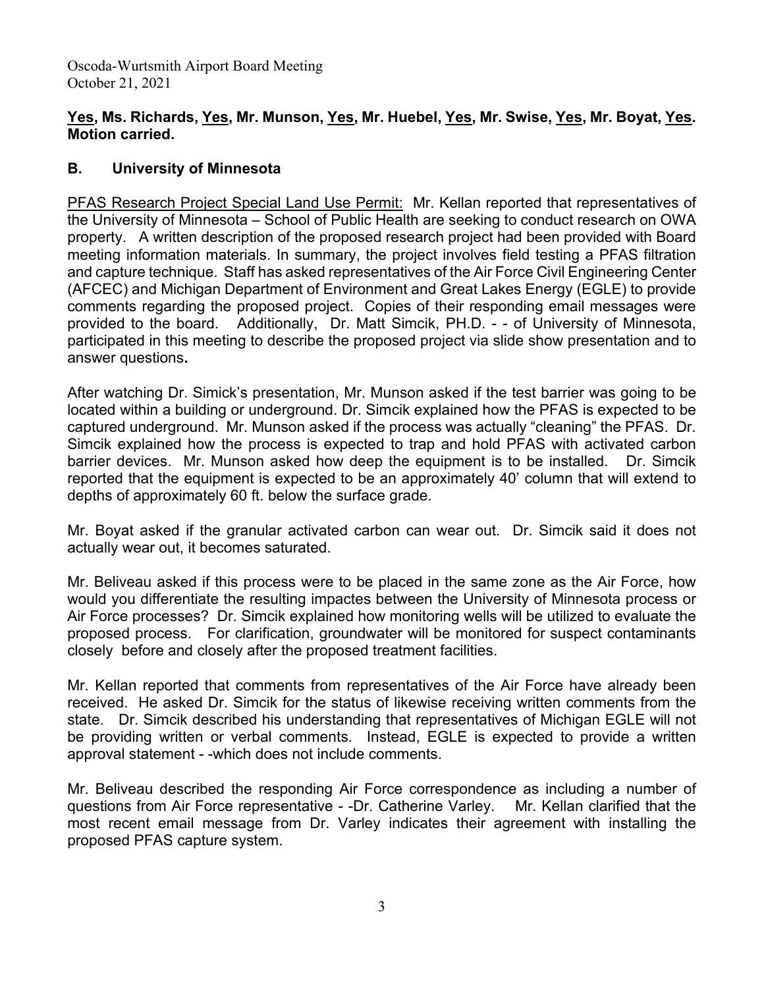# **Yes, Ms. Richards, Yes, Mr. Munson, Yes, Mr. Huebel, Yes, Mr. Swise, Yes, Mr. Boyat, Yes. Motion carried.**

# **B. University of Minnesota**

PFAS Research Project Special Land Use Permit: Mr. Kellan reported that representatives of the University of Minnesota – School of Public Health are seeking to conduct research on OWA property. A written description of the proposed research project had been provided with Board meeting information materials. In summary, the project involves field testing a PFAS filtration and capture technique. Staff has asked representatives of the Air Force Civil Engineering Center (AFCEC) and Michigan Department of Environment and Great Lakes Energy (EGLE) to provide comments regarding the proposed project. Copies of their responding email messages were provided to the board. Additionally, Dr. Matt Simcik, PH.D. - - of University of Minnesota, participated in this meeting to describe the proposed project via slide show presentation and to answer questions**.** 

After watching Dr. Simick's presentation, Mr. Munson asked if the test barrier was going to be located within a building or underground. Dr. Simcik explained how the PFAS is expected to be captured underground. Mr. Munson asked if the process was actually "cleaning" the PFAS. Dr. Simcik explained how the process is expected to trap and hold PFAS with activated carbon barrier devices. Mr. Munson asked how deep the equipment is to be installed. Dr. Simcik reported that the equipment is expected to be an approximately 40' column that will extend to depths of approximately 60 ft. below the surface grade.

Mr. Boyat asked if the granular activated carbon can wear out. Dr. Simcik said it does not actually wear out, it becomes saturated.

Mr. Beliveau asked if this process were to be placed in the same zone as the Air Force, how would you differentiate the resulting impactes between the University of Minnesota process or Air Force processes? Dr. Simcik explained how monitoring wells will be utilized to evaluate the proposed process. For clarification, groundwater will be monitored for suspect contaminants closely before and closely after the proposed treatment facilities.

Mr. Kellan reported that comments from representatives of the Air Force have already been received. He asked Dr. Simcik for the status of likewise receiving written comments from the state. Dr. Simcik described his understanding that representatives of Michigan EGLE will not be providing written or verbal comments. Instead, EGLE is expected to provide a written approval statement - -which does not include comments.

Mr. Beliveau described the responding Air Force correspondence as including a number of questions from Air Force representative - -Dr. Catherine Varley. Mr. Kellan clarified that the most recent email message from Dr. Varley indicates their agreement with installing the proposed PFAS capture system.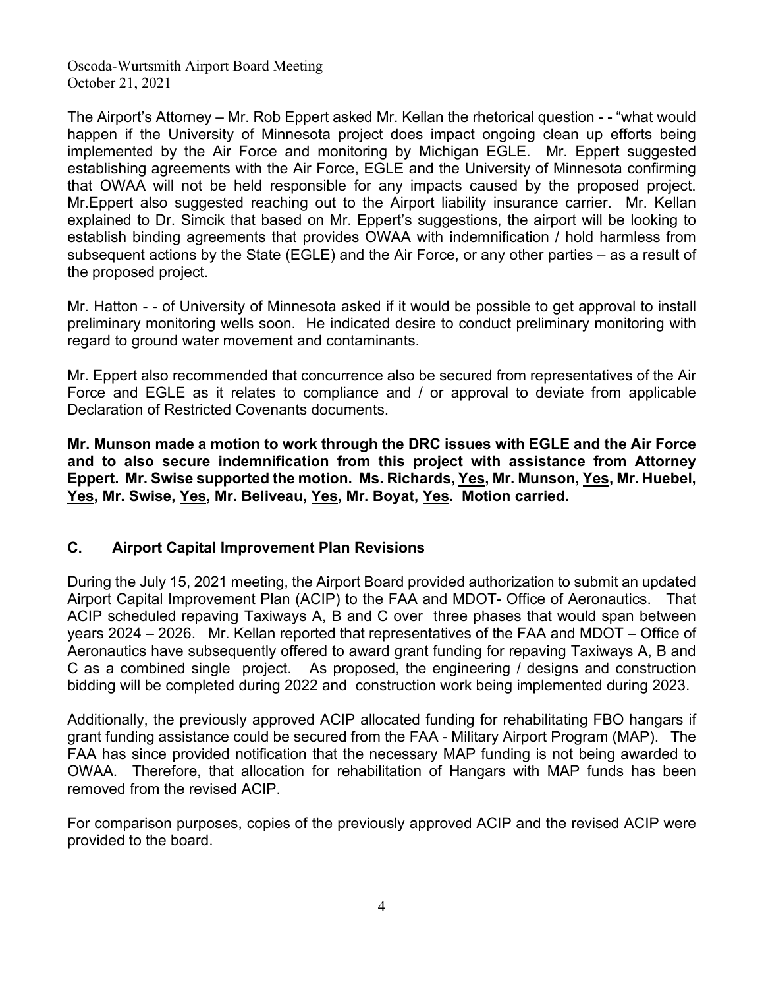The Airport's Attorney – Mr. Rob Eppert asked Mr. Kellan the rhetorical question - - "what would happen if the University of Minnesota project does impact ongoing clean up efforts being implemented by the Air Force and monitoring by Michigan EGLE. Mr. Eppert suggested establishing agreements with the Air Force, EGLE and the University of Minnesota confirming that OWAA will not be held responsible for any impacts caused by the proposed project. Mr.Eppert also suggested reaching out to the Airport liability insurance carrier. Mr. Kellan explained to Dr. Simcik that based on Mr. Eppert's suggestions, the airport will be looking to establish binding agreements that provides OWAA with indemnification / hold harmless from subsequent actions by the State (EGLE) and the Air Force, or any other parties – as a result of the proposed project.

Mr. Hatton - - of University of Minnesota asked if it would be possible to get approval to install preliminary monitoring wells soon. He indicated desire to conduct preliminary monitoring with regard to ground water movement and contaminants.

Mr. Eppert also recommended that concurrence also be secured from representatives of the Air Force and EGLE as it relates to compliance and / or approval to deviate from applicable Declaration of Restricted Covenants documents.

**Mr. Munson made a motion to work through the DRC issues with EGLE and the Air Force and to also secure indemnification from this project with assistance from Attorney Eppert. Mr. Swise supported the motion. Ms. Richards, Yes, Mr. Munson, Yes, Mr. Huebel, Yes, Mr. Swise, Yes, Mr. Beliveau, Yes, Mr. Boyat, Yes. Motion carried.**

# **C. Airport Capital Improvement Plan Revisions**

During the July 15, 2021 meeting, the Airport Board provided authorization to submit an updated Airport Capital Improvement Plan (ACIP) to the FAA and MDOT- Office of Aeronautics. That ACIP scheduled repaving Taxiways A, B and C over three phases that would span between years 2024 – 2026. Mr. Kellan reported that representatives of the FAA and MDOT – Office of Aeronautics have subsequently offered to award grant funding for repaving Taxiways A, B and C as a combined single project. As proposed, the engineering / designs and construction bidding will be completed during 2022 and construction work being implemented during 2023.

Additionally, the previously approved ACIP allocated funding for rehabilitating FBO hangars if grant funding assistance could be secured from the FAA - Military Airport Program (MAP). The FAA has since provided notification that the necessary MAP funding is not being awarded to OWAA. Therefore, that allocation for rehabilitation of Hangars with MAP funds has been removed from the revised ACIP.

For comparison purposes, copies of the previously approved ACIP and the revised ACIP were provided to the board.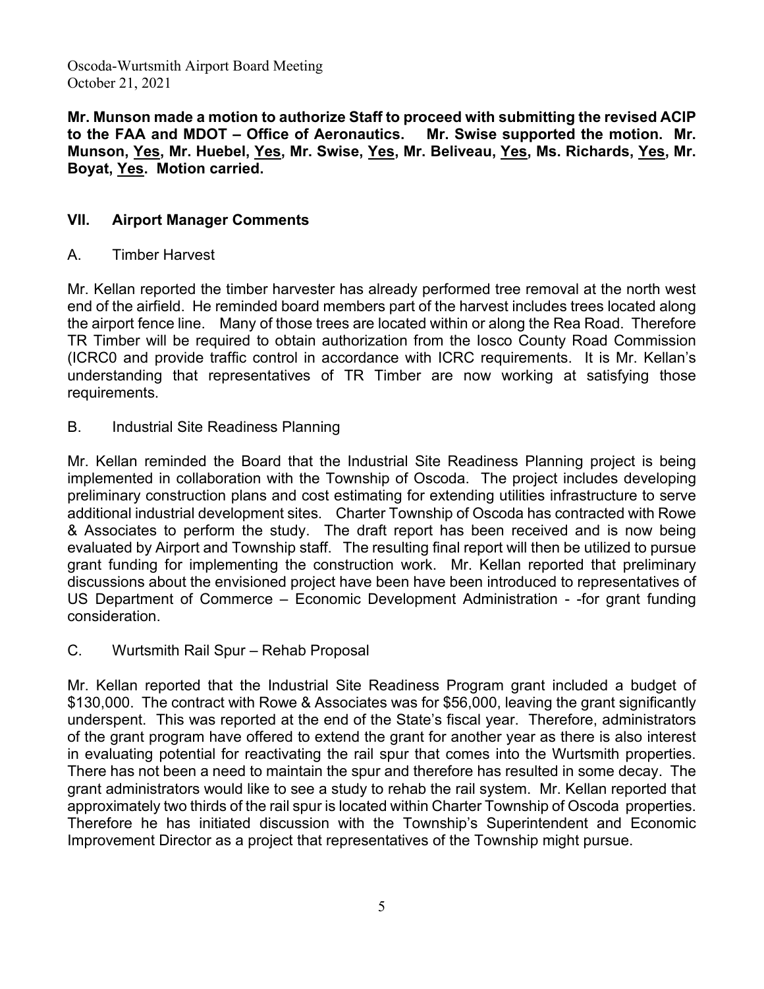**Mr. Munson made a motion to authorize Staff to proceed with submitting the revised ACIP to the FAA and MDOT – Office of Aeronautics. Mr. Swise supported the motion. Mr. Munson, Yes, Mr. Huebel, Yes, Mr. Swise, Yes, Mr. Beliveau, Yes, Ms. Richards, Yes, Mr. Boyat, Yes. Motion carried.**

# **VII. Airport Manager Comments**

# A. Timber Harvest

Mr. Kellan reported the timber harvester has already performed tree removal at the north west end of the airfield. He reminded board members part of the harvest includes trees located along the airport fence line. Many of those trees are located within or along the Rea Road. Therefore TR Timber will be required to obtain authorization from the Iosco County Road Commission (ICRC0 and provide traffic control in accordance with ICRC requirements. It is Mr. Kellan's understanding that representatives of TR Timber are now working at satisfying those requirements.

B. Industrial Site Readiness Planning

Mr. Kellan reminded the Board that the Industrial Site Readiness Planning project is being implemented in collaboration with the Township of Oscoda. The project includes developing preliminary construction plans and cost estimating for extending utilities infrastructure to serve additional industrial development sites. Charter Township of Oscoda has contracted with Rowe & Associates to perform the study. The draft report has been received and is now being evaluated by Airport and Township staff. The resulting final report will then be utilized to pursue grant funding for implementing the construction work. Mr. Kellan reported that preliminary discussions about the envisioned project have been have been introduced to representatives of US Department of Commerce – Economic Development Administration - -for grant funding consideration.

C. Wurtsmith Rail Spur – Rehab Proposal

Mr. Kellan reported that the Industrial Site Readiness Program grant included a budget of \$130,000. The contract with Rowe & Associates was for \$56,000, leaving the grant significantly underspent. This was reported at the end of the State's fiscal year. Therefore, administrators of the grant program have offered to extend the grant for another year as there is also interest in evaluating potential for reactivating the rail spur that comes into the Wurtsmith properties. There has not been a need to maintain the spur and therefore has resulted in some decay. The grant administrators would like to see a study to rehab the rail system. Mr. Kellan reported that approximately two thirds of the rail spur is located within Charter Township of Oscoda properties. Therefore he has initiated discussion with the Township's Superintendent and Economic Improvement Director as a project that representatives of the Township might pursue.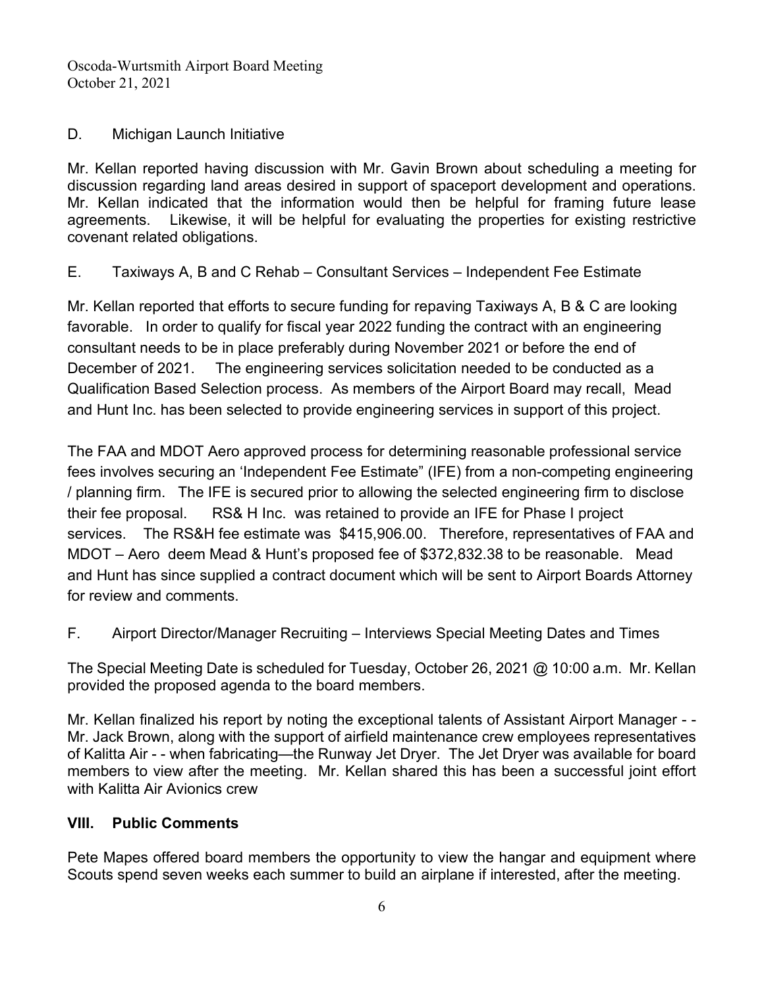## D. Michigan Launch Initiative

Mr. Kellan reported having discussion with Mr. Gavin Brown about scheduling a meeting for discussion regarding land areas desired in support of spaceport development and operations. Mr. Kellan indicated that the information would then be helpful for framing future lease agreements. Likewise, it will be helpful for evaluating the properties for existing restrictive covenant related obligations.

E. Taxiways A, B and C Rehab – Consultant Services – Independent Fee Estimate

Mr. Kellan reported that efforts to secure funding for repaving Taxiways A, B & C are looking favorable. In order to qualify for fiscal year 2022 funding the contract with an engineering consultant needs to be in place preferably during November 2021 or before the end of December of 2021. The engineering services solicitation needed to be conducted as a Qualification Based Selection process. As members of the Airport Board may recall, Mead and Hunt Inc. has been selected to provide engineering services in support of this project.

The FAA and MDOT Aero approved process for determining reasonable professional service fees involves securing an 'Independent Fee Estimate" (IFE) from a non-competing engineering / planning firm. The IFE is secured prior to allowing the selected engineering firm to disclose their fee proposal. RS& H Inc. was retained to provide an IFE for Phase I project services. The RS&H fee estimate was \$415,906.00. Therefore, representatives of FAA and MDOT – Aero deem Mead & Hunt's proposed fee of \$372,832.38 to be reasonable. Mead and Hunt has since supplied a contract document which will be sent to Airport Boards Attorney for review and comments.

F. Airport Director/Manager Recruiting – Interviews Special Meeting Dates and Times

The Special Meeting Date is scheduled for Tuesday, October 26, 2021 @ 10:00 a.m. Mr. Kellan provided the proposed agenda to the board members.

Mr. Kellan finalized his report by noting the exceptional talents of Assistant Airport Manager - - Mr. Jack Brown, along with the support of airfield maintenance crew employees representatives of Kalitta Air - - when fabricating—the Runway Jet Dryer. The Jet Dryer was available for board members to view after the meeting. Mr. Kellan shared this has been a successful joint effort with Kalitta Air Avionics crew

# **VIII. Public Comments**

Pete Mapes offered board members the opportunity to view the hangar and equipment where Scouts spend seven weeks each summer to build an airplane if interested, after the meeting.